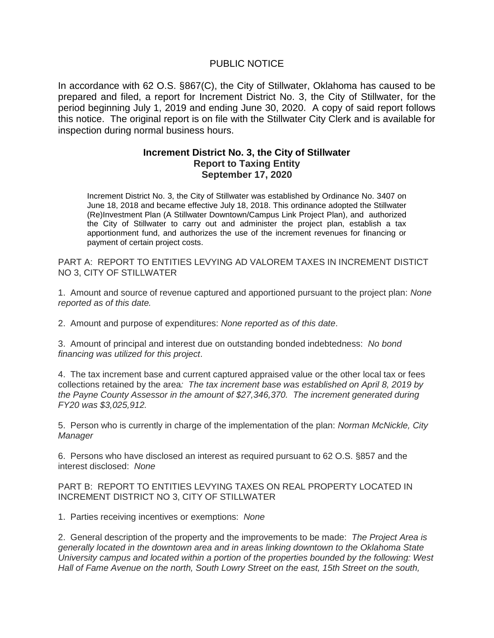## PUBLIC NOTICE

In accordance with 62 O.S. §867(C), the City of Stillwater, Oklahoma has caused to be prepared and filed, a report for Increment District No. 3, the City of Stillwater, for the period beginning July 1, 2019 and ending June 30, 2020. A copy of said report follows this notice. The original report is on file with the Stillwater City Clerk and is available for inspection during normal business hours.

## **Increment District No. 3, the City of Stillwater Report to Taxing Entity September 17, 2020**

Increment District No. 3, the City of Stillwater was established by Ordinance No. 3407 on June 18, 2018 and became effective July 18, 2018. This ordinance adopted the Stillwater (Re)Investment Plan (A Stillwater Downtown/Campus Link Project Plan), and authorized the City of Stillwater to carry out and administer the project plan, establish a tax apportionment fund, and authorizes the use of the increment revenues for financing or payment of certain project costs.

PART A: REPORT TO ENTITIES LEVYING AD VALOREM TAXES IN INCREMENT DISTICT NO 3, CITY OF STILLWATER

1. Amount and source of revenue captured and apportioned pursuant to the project plan: *None reported as of this date.*

2. Amount and purpose of expenditures: *None reported as of this date*.

3. Amount of principal and interest due on outstanding bonded indebtedness: *No bond financing was utilized for this project*.

4. The tax increment base and current captured appraised value or the other local tax or fees collections retained by the area*: The tax increment base was established on April 8, 2019 by the Payne County Assessor in the amount of \$27,346,370. The increment generated during FY20 was \$3,025,912.* 

5. Person who is currently in charge of the implementation of the plan: *Norman McNickle, City Manager*

6. Persons who have disclosed an interest as required pursuant to 62 O.S. §857 and the interest disclosed: *None*

## PART B: REPORT TO ENTITIES LEVYING TAXES ON REAL PROPERTY LOCATED IN INCREMENT DISTRICT NO 3, CITY OF STILLWATER

1. Parties receiving incentives or exemptions: *None* 

2. General description of the property and the improvements to be made: *The Project Area is generally located in the downtown area and in areas linking downtown to the Oklahoma State University campus and located within a portion of the properties bounded by the following: West Hall of Fame Avenue on the north, South Lowry Street on the east, 15th Street on the south,*